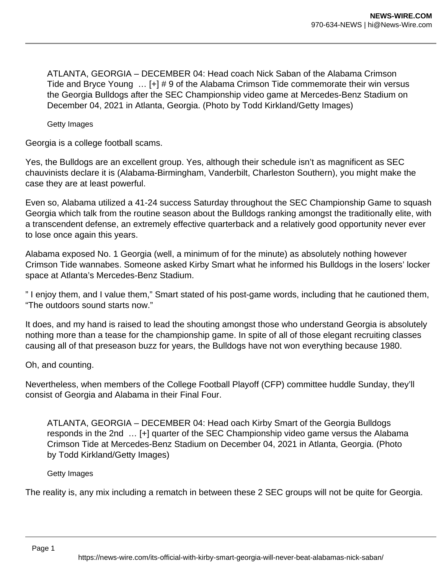ATLANTA, GEORGIA – DECEMBER 04: Head coach Nick Saban of the Alabama Crimson Tide and Bryce Young … [+] # 9 of the Alabama Crimson Tide commemorate their win versus the Georgia Bulldogs after the SEC Championship video game at Mercedes-Benz Stadium on December 04, 2021 in Atlanta, Georgia. (Photo by Todd Kirkland/Getty Images)

Getty Images

Georgia is a college football scams.

Yes, the Bulldogs are an excellent group. Yes, although their schedule isn't as magnificent as SEC chauvinists declare it is (Alabama-Birmingham, Vanderbilt, Charleston Southern), you might make the case they are at least powerful.

Even so, Alabama utilized a 41-24 success Saturday throughout the SEC Championship Game to squash Georgia which talk from the routine season about the Bulldogs ranking amongst the traditionally elite, with a transcendent defense, an extremely effective quarterback and a relatively good opportunity never ever to lose once again this years.

Alabama exposed No. 1 Georgia (well, a minimum of for the minute) as absolutely nothing however Crimson Tide wannabes. Someone asked Kirby Smart what he informed his Bulldogs in the losers' locker space at Atlanta's Mercedes-Benz Stadium.

" I enjoy them, and I value them," Smart stated of his post-game words, including that he cautioned them, "The outdoors sound starts now."

It does, and my hand is raised to lead the shouting amongst those who understand Georgia is absolutely nothing more than a tease for the championship game. In spite of all of those elegant recruiting classes causing all of that preseason buzz for years, the Bulldogs have not won everything because 1980.

Oh, and counting.

Nevertheless, when members of the College Football Playoff (CFP) committee huddle Sunday, they'll consist of Georgia and Alabama in their Final Four.

ATLANTA, GEORGIA – DECEMBER 04: Head oach Kirby Smart of the Georgia Bulldogs responds in the 2nd … [+] quarter of the SEC Championship video game versus the Alabama Crimson Tide at Mercedes-Benz Stadium on December 04, 2021 in Atlanta, Georgia. (Photo by Todd Kirkland/Getty Images)

Getty Images

The reality is, any mix including a rematch in between these 2 SEC groups will not be quite for Georgia.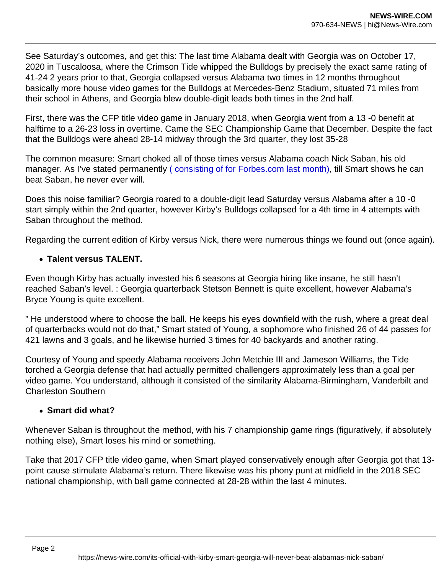See Saturday's outcomes, and get this: The last time Alabama dealt with Georgia was on October 17, 2020 in Tuscaloosa, where the Crimson Tide whipped the Bulldogs by precisely the exact same rating of 41-24 2 years prior to that, Georgia collapsed versus Alabama two times in 12 months throughout basically more house video games for the Bulldogs at Mercedes-Benz Stadium, situated 71 miles from their school in Athens, and Georgia blew double-digit leads both times in the 2nd half.

First, there was the CFP title video game in January 2018, when Georgia went from a 13 -0 benefit at halftime to a 26-23 loss in overtime. Came the SEC Championship Game that December. Despite the fact that the Bulldogs were ahead 28-14 midway through the 3rd quarter, they lost 35-28

The common measure: Smart choked all of those times versus Alabama coach Nick Saban, his old manager. As I've stated permanently [\( consisting of for Forbes.com last month\)](https://www.forbes.com/sites/terencemoore/2021/11/27/georgia-is-better-than-alabama-but-nick-saban-keeps-rattling-around-kirby-smarts-head/?sh=6b5a5a484a66&fbclid=IwAR2SE_Jro-GFGPi7WHXnfpmbC3jw9tBy8MWC3kN70ZrJKiy44GIz9puCu2U), till Smart shows he can beat Saban, he never ever will.

Does this noise familiar? Georgia roared to a double-digit lead Saturday versus Alabama after a 10 -0 start simply within the 2nd quarter, however Kirby's Bulldogs collapsed for a 4th time in 4 attempts with Saban throughout the method.

Regarding the current edition of Kirby versus Nick, there were numerous things we found out (once again).

• Talent versus TALENT.

Even though Kirby has actually invested his 6 seasons at Georgia hiring like insane, he still hasn't reached Saban's level. : Georgia quarterback Stetson Bennett is quite excellent, however Alabama's Bryce Young is quite excellent.

" He understood where to choose the ball. He keeps his eyes downfield with the rush, where a great deal of quarterbacks would not do that," Smart stated of Young, a sophomore who finished 26 of 44 passes for 421 lawns and 3 goals, and he likewise hurried 3 times for 40 backyards and another rating.

Courtesy of Young and speedy Alabama receivers John Metchie III and Jameson Williams, the Tide torched a Georgia defense that had actually permitted challengers approximately less than a goal per video game. You understand, although it consisted of the similarity Alabama-Birmingham, Vanderbilt and Charleston Southern

• Smart did what?

Whenever Saban is throughout the method, with his 7 championship game rings (figuratively, if absolutely nothing else), Smart loses his mind or something.

Take that 2017 CFP title video game, when Smart played conservatively enough after Georgia got that 13 point cause stimulate Alabama's return. There likewise was his phony punt at midfield in the 2018 SEC national championship, with ball game connected at 28-28 within the last 4 minutes.